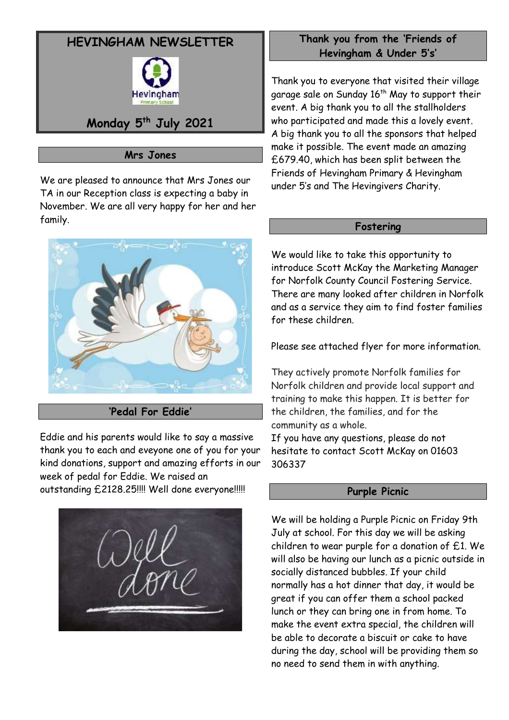# **HEVINGHAM NEWSLETTER**



## **Monday 5 th July 2021**

## **Mrs Jones**

We are pleased to announce that Mrs Jones our TA in our Reception class is expecting a baby in November. We are all very happy for her and her family.



## **'Pedal For Eddie'**

Eddie and his parents would like to say a massive thank you to each and eveyone one of you for your kind donations, support and amazing efforts in our week of pedal for Eddie. We raised an

outstanding £2128.25!!!! Well done everyone!!!!!



## **Thank you from the 'Friends of Hevingham & Under 5's'**

Thank you to everyone that visited their village garage sale on Sunday 16<sup>th</sup> May to support their event. A big thank you to all the stallholders who participated and made this a lovely event. A big thank you to all the sponsors that helped make it possible. The event made an amazing £679.40, which has been split between the Friends of Hevingham Primary & Hevingham under 5's and The Hevingivers Charity.

#### **Fostering**

We would like to take this opportunity to introduce Scott McKay the Marketing Manager for Norfolk County Council Fostering Service. There are many looked after children in Norfolk and as a service they aim to find foster families for these children.

Please see attached flyer for more information.

They actively promote Norfolk families for Norfolk children and provide local support and training to make this happen. It is better for the children, the families, and for the community as a whole.

If you have any questions, please do not hesitate to contact Scott McKay on 01603 306337

#### **Purple Picnic**

We will be holding a Purple Picnic on Friday 9th July at school. For this day we will be asking children to wear purple for a donation of £1. We will also be having our lunch as a picnic outside in socially distanced bubbles. If your child normally has a hot dinner that day, it would be great if you can offer them a school packed lunch or they can bring one in from home. To make the event extra special, the children will be able to decorate a biscuit or cake to have during the day, school will be providing them so no need to send them in with anything.